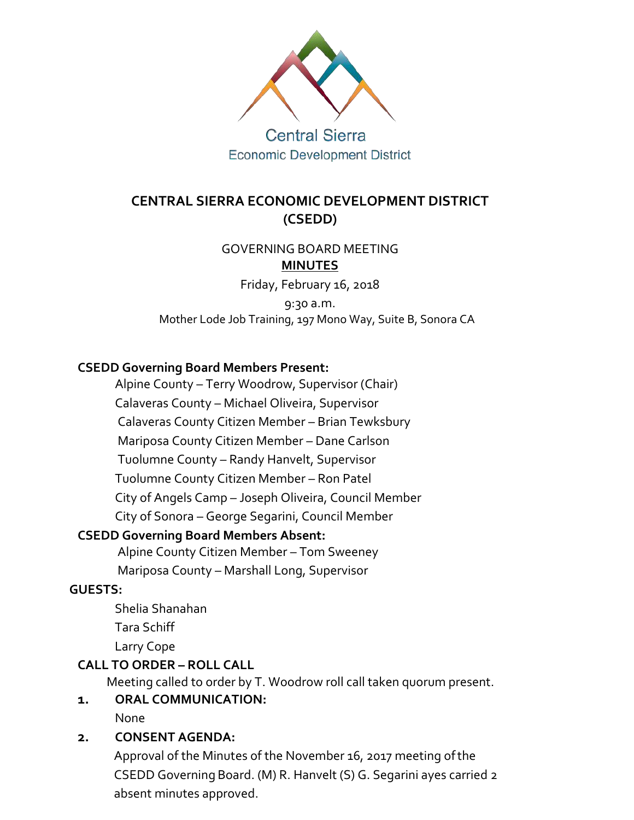

## **Central Sierra Economic Development District**

## **CENTRAL SIERRA ECONOMIC DEVELOPMENT DISTRICT (CSEDD)**

### GOVERNING BOARD MEETING **MINUTES**

Friday, February 16, 2018

9:30 a.m. Mother Lode Job Training, 197 Mono Way, Suite B, Sonora CA

### **CSEDD Governing Board Members Present:**

Alpine County – Terry Woodrow, Supervisor (Chair)

Calaveras County – Michael Oliveira, Supervisor

Calaveras County Citizen Member – Brian Tewksbury

Mariposa County Citizen Member – Dane Carlson

Tuolumne County – Randy Hanvelt, Supervisor

Tuolumne County Citizen Member – Ron Patel

City of Angels Camp – Joseph Oliveira, Council Member

City of Sonora – George Segarini, Council Member

### **CSEDD Governing Board Members Absent:**

Alpine County Citizen Member – Tom Sweeney

Mariposa County – Marshall Long, Supervisor

### **GUESTS:**

Shelia Shanahan

Tara Schiff

Larry Cope

### **CALL TO ORDER – ROLL CALL**

Meeting called to order by T. Woodrow roll call taken quorum present.

# **1. ORAL COMMUNICATION:**

None

### **2. CONSENT AGENDA:**

Approval of the Minutes of the November 16, 2017 meeting ofthe CSEDD Governing Board. (M) R. Hanvelt (S) G. Segarini ayes carried 2 absent minutes approved.